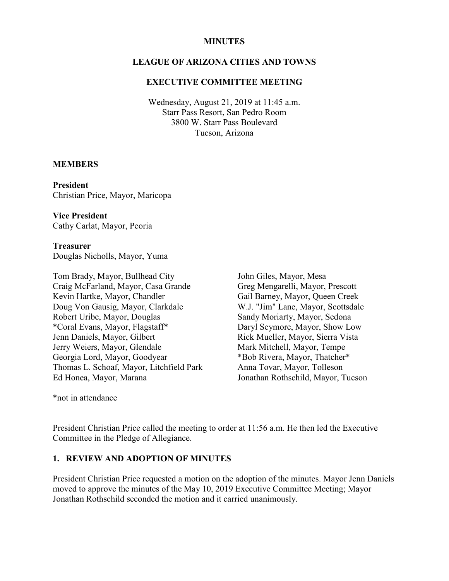#### **MINUTES**

### **LEAGUE OF ARIZONA CITIES AND TOWNS**

#### **EXECUTIVE COMMITTEE MEETING**

Wednesday, August 21, 2019 at 11:45 a.m. Starr Pass Resort, San Pedro Room 3800 W. Starr Pass Boulevard Tucson, Arizona

#### **MEMBERS**

**President** Christian Price, Mayor, Maricopa

**Vice President** Cathy Carlat, Mayor, Peoria

**Treasurer** Douglas Nicholls, Mayor, Yuma

Tom Brady, Mayor, Bullhead City Craig McFarland, Mayor, Casa Grande Kevin Hartke, Mayor, Chandler Doug Von Gausig, Mayor, Clarkdale Robert Uribe, Mayor, Douglas \*Coral Evans, Mayor, Flagstaff\* Jenn Daniels, Mayor, Gilbert Jerry Weiers, Mayor, Glendale Georgia Lord, Mayor, Goodyear Thomas L. Schoaf, Mayor, Litchfield Park Ed Honea, Mayor, Marana

John Giles, Mayor, Mesa Greg Mengarelli, Mayor, Prescott Gail Barney, Mayor, Queen Creek W.J. "Jim" Lane, Mayor, Scottsdale Sandy Moriarty, Mayor, Sedona Daryl Seymore, Mayor, Show Low Rick Mueller, Mayor, Sierra Vista Mark Mitchell, Mayor, Tempe \*Bob Rivera, Mayor, Thatcher\* Anna Tovar, Mayor, Tolleson Jonathan Rothschild, Mayor, Tucson

\*not in attendance

President Christian Price called the meeting to order at 11:56 a.m. He then led the Executive Committee in the Pledge of Allegiance.

## **1. REVIEW AND ADOPTION OF MINUTES**

President Christian Price requested a motion on the adoption of the minutes. Mayor Jenn Daniels moved to approve the minutes of the May 10, 2019 Executive Committee Meeting; Mayor Jonathan Rothschild seconded the motion and it carried unanimously.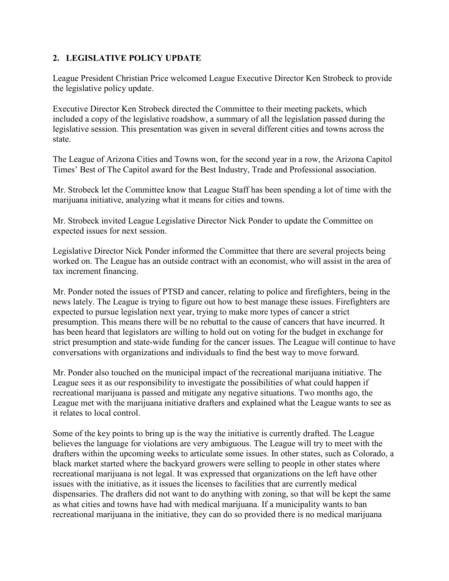# **2. LEGISLATIVE POLICY UPDATE**

League President Christian Price welcomed League Executive Director Ken Strobeck to provide the legislative policy update.

Executive Director Ken Strobeck directed the Committee to their meeting packets, which included a copy of the legislative roadshow, a summary of all the legislation passed during the legislative session. This presentation was given in several different cities and towns across the state.

The League of Arizona Cities and Towns won, for the second year in a row, the Arizona Capitol Times' Best of The Capitol award for the Best Industry, Trade and Professional association.

Mr. Strobeck let the Committee know that League Staff has been spending a lot of time with the marijuana initiative, analyzing what it means for cities and towns.

Mr. Strobeck invited League Legislative Director Nick Ponder to update the Committee on expected issues for next session.

Legislative Director Nick Ponder informed the Committee that there are several projects being worked on. The League has an outside contract with an economist, who will assist in the area of tax increment financing.

Mr. Ponder noted the issues of PTSD and cancer, relating to police and firefighters, being in the news lately. The League is trying to figure out how to best manage these issues. Firefighters are expected to pursue legislation next year, trying to make more types of cancer a strict presumption. This means there will be no rebuttal to the cause of cancers that have incurred. It has been heard that legislators are willing to hold out on voting for the budget in exchange for strict presumption and state-wide funding for the cancer issues. The League will continue to have conversations with organizations and individuals to find the best way to move forward.

Mr. Ponder also touched on the municipal impact of the recreational marijuana initiative. The League sees it as our responsibility to investigate the possibilities of what could happen if recreational marijuana is passed and mitigate any negative situations. Two months ago, the League met with the marijuana initiative drafters and explained what the League wants to see as it relates to local control.

Some of the key points to bring up is the way the initiative is currently drafted. The League believes the language for violations are very ambiguous. The League will try to meet with the drafters within the upcoming weeks to articulate some issues. In other states, such as Colorado, a black market started where the backyard growers were selling to people in other states where recreational marijuana is not legal. It was expressed that organizations on the left have other issues with the initiative, as it issues the licenses to facilities that are currently medical dispensaries. The drafters did not want to do anything with zoning, so that will be kept the same as what cities and towns have had with medical marijuana. If a municipality wants to ban recreational marijuana in the initiative, they can do so provided there is no medical marijuana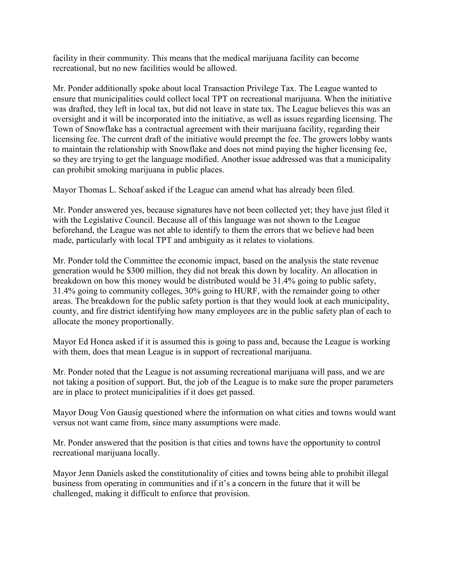facility in their community. This means that the medical marijuana facility can become recreational, but no new facilities would be allowed.

Mr. Ponder additionally spoke about local Transaction Privilege Tax. The League wanted to ensure that municipalities could collect local TPT on recreational marijuana. When the initiative was drafted, they left in local tax, but did not leave in state tax. The League believes this was an oversight and it will be incorporated into the initiative, as well as issues regarding licensing. The Town of Snowflake has a contractual agreement with their marijuana facility, regarding their licensing fee. The current draft of the initiative would preempt the fee. The growers lobby wants to maintain the relationship with Snowflake and does not mind paying the higher licensing fee, so they are trying to get the language modified. Another issue addressed was that a municipality can prohibit smoking marijuana in public places.

Mayor Thomas L. Schoaf asked if the League can amend what has already been filed.

Mr. Ponder answered yes, because signatures have not been collected yet; they have just filed it with the Legislative Council. Because all of this language was not shown to the League beforehand, the League was not able to identify to them the errors that we believe had been made, particularly with local TPT and ambiguity as it relates to violations.

Mr. Ponder told the Committee the economic impact, based on the analysis the state revenue generation would be \$300 million, they did not break this down by locality. An allocation in breakdown on how this money would be distributed would be 31.4% going to public safety, 31.4% going to community colleges, 30% going to HURF, with the remainder going to other areas. The breakdown for the public safety portion is that they would look at each municipality, county, and fire district identifying how many employees are in the public safety plan of each to allocate the money proportionally.

Mayor Ed Honea asked if it is assumed this is going to pass and, because the League is working with them, does that mean League is in support of recreational marijuana.

Mr. Ponder noted that the League is not assuming recreational marijuana will pass, and we are not taking a position of support. But, the job of the League is to make sure the proper parameters are in place to protect municipalities if it does get passed.

Mayor Doug Von Gausig questioned where the information on what cities and towns would want versus not want came from, since many assumptions were made.

Mr. Ponder answered that the position is that cities and towns have the opportunity to control recreational marijuana locally.

Mayor Jenn Daniels asked the constitutionality of cities and towns being able to prohibit illegal business from operating in communities and if it's a concern in the future that it will be challenged, making it difficult to enforce that provision.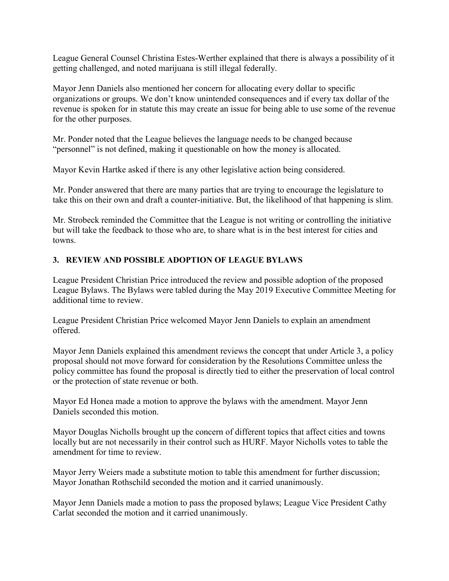League General Counsel Christina Estes-Werther explained that there is always a possibility of it getting challenged, and noted marijuana is still illegal federally.

Mayor Jenn Daniels also mentioned her concern for allocating every dollar to specific organizations or groups. We don't know unintended consequences and if every tax dollar of the revenue is spoken for in statute this may create an issue for being able to use some of the revenue for the other purposes.

Mr. Ponder noted that the League believes the language needs to be changed because "personnel" is not defined, making it questionable on how the money is allocated.

Mayor Kevin Hartke asked if there is any other legislative action being considered.

Mr. Ponder answered that there are many parties that are trying to encourage the legislature to take this on their own and draft a counter-initiative. But, the likelihood of that happening is slim.

Mr. Strobeck reminded the Committee that the League is not writing or controlling the initiative but will take the feedback to those who are, to share what is in the best interest for cities and towns.

# **3. REVIEW AND POSSIBLE ADOPTION OF LEAGUE BYLAWS**

League President Christian Price introduced the review and possible adoption of the proposed League Bylaws. The Bylaws were tabled during the May 2019 Executive Committee Meeting for additional time to review.

League President Christian Price welcomed Mayor Jenn Daniels to explain an amendment offered.

Mayor Jenn Daniels explained this amendment reviews the concept that under Article 3, a policy proposal should not move forward for consideration by the Resolutions Committee unless the policy committee has found the proposal is directly tied to either the preservation of local control or the protection of state revenue or both.

Mayor Ed Honea made a motion to approve the bylaws with the amendment. Mayor Jenn Daniels seconded this motion.

Mayor Douglas Nicholls brought up the concern of different topics that affect cities and towns locally but are not necessarily in their control such as HURF. Mayor Nicholls votes to table the amendment for time to review.

Mayor Jerry Weiers made a substitute motion to table this amendment for further discussion; Mayor Jonathan Rothschild seconded the motion and it carried unanimously.

Mayor Jenn Daniels made a motion to pass the proposed bylaws; League Vice President Cathy Carlat seconded the motion and it carried unanimously.